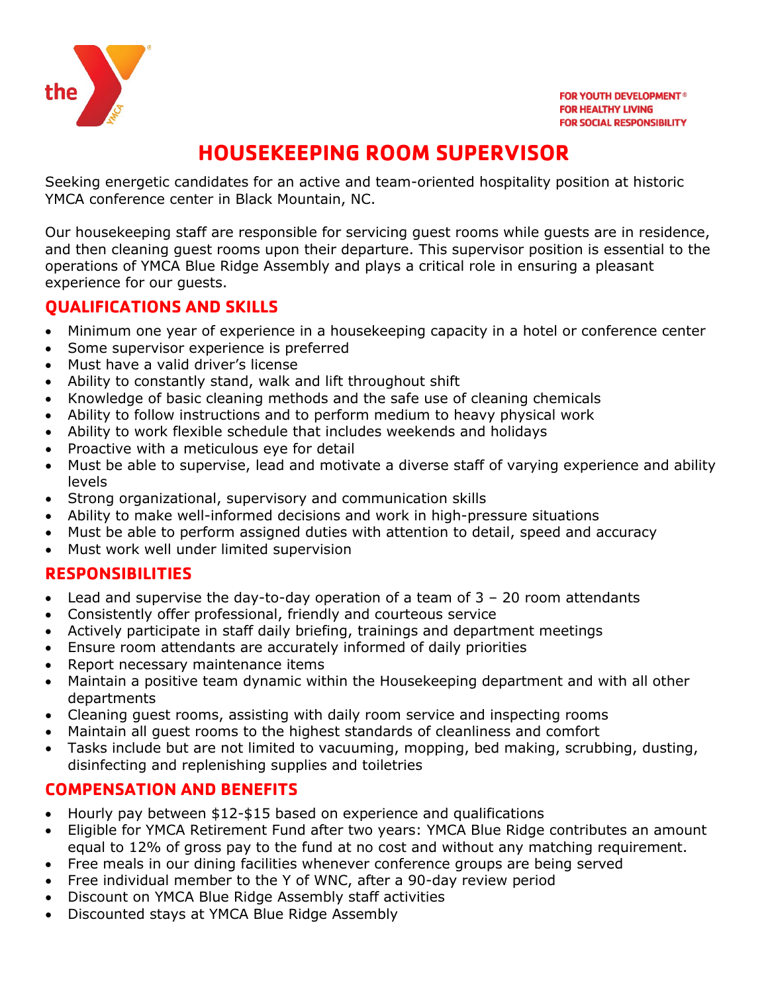

# **HOUSEKEEPING ROOM SUPERVISOR**

Seeking energetic candidates for an active and team-oriented hospitality position at historic YMCA conference center in Black Mountain, NC.

Our housekeeping staff are responsible for servicing guest rooms while guests are in residence, and then cleaning guest rooms upon their departure. This supervisor position is essential to the operations of YMCA Blue Ridge Assembly and plays a critical role in ensuring a pleasant experience for our guests.

### **QUALIFICATIONS AND SKILLS**

- Minimum one year of experience in a housekeeping capacity in a hotel or conference center
- Some supervisor experience is preferred
- Must have a valid driver's license
- Ability to constantly stand, walk and lift throughout shift
- Knowledge of basic cleaning methods and the safe use of cleaning chemicals
- Ability to follow instructions and to perform medium to heavy physical work
- Ability to work flexible schedule that includes weekends and holidays
- Proactive with a meticulous eye for detail
- Must be able to supervise, lead and motivate a diverse staff of varying experience and ability levels
- Strong organizational, supervisory and communication skills
- Ability to make well-informed decisions and work in high-pressure situations
- Must be able to perform assigned duties with attention to detail, speed and accuracy
- Must work well under limited supervision

#### **RESPONSIBILITIES**

- Lead and supervise the day-to-day operation of a team of 3 20 room attendants
- Consistently offer professional, friendly and courteous service
- Actively participate in staff daily briefing, trainings and department meetings
- Ensure room attendants are accurately informed of daily priorities
- Report necessary maintenance items
- Maintain a positive team dynamic within the Housekeeping department and with all other departments
- Cleaning guest rooms, assisting with daily room service and inspecting rooms
- Maintain all guest rooms to the highest standards of cleanliness and comfort
- Tasks include but are not limited to vacuuming, mopping, bed making, scrubbing, dusting, disinfecting and replenishing supplies and toiletries

#### **COMPENSATION AND BENEFITS**

- Hourly pay between \$12-\$15 based on experience and qualifications
- Eligible for YMCA Retirement Fund after two years: YMCA Blue Ridge contributes an amount equal to 12% of gross pay to the fund at no cost and without any matching requirement.
- Free meals in our dining facilities whenever conference groups are being served
- Free individual member to the Y of WNC, after a 90-day review period
- Discount on YMCA Blue Ridge Assembly staff activities
- Discounted stays at YMCA Blue Ridge Assembly